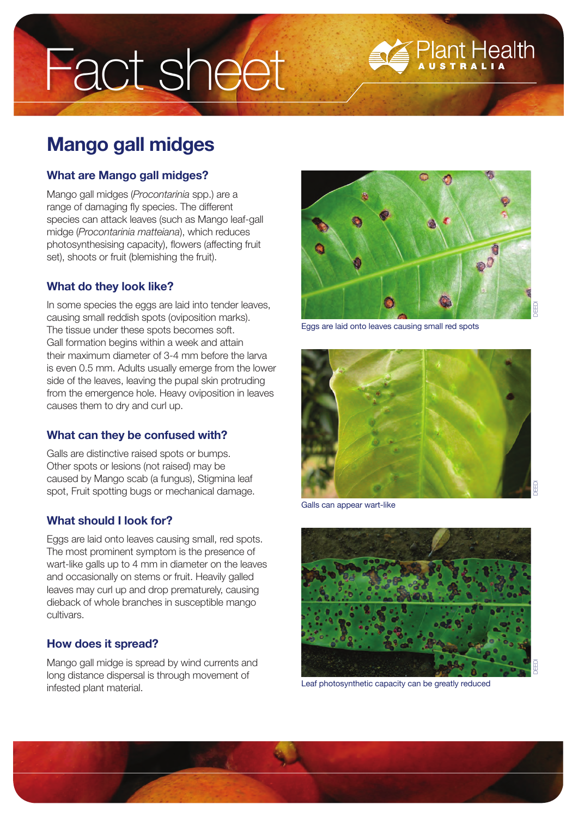# Fact sheet

# **Mango gall midges**

#### **What are Mango gall midges?**

Mango gall midges (*Procontarinia* spp.) are a range of damaging fly species. The different species can attack leaves (such as Mango leaf-gall midge (*Procontarinia matteiana*), which reduces photosynthesising capacity), flowers (affecting fruit set), shoots or fruit (blemishing the fruit).

### **What do they look like?**

In some species the eggs are laid into tender leaves, causing small reddish spots (oviposition marks). The tissue under these spots becomes soft. Gall formation begins within a week and attain their maximum diameter of 3-4 mm before the larva is even 0.5 mm. Adults usually emerge from the lower side of the leaves, leaving the pupal skin protruding from the emergence hole. Heavy oviposition in leaves causes them to dry and curl up.

# **What can they be confused with?**

Galls are distinctive raised spots or bumps. Other spots or lesions (not raised) may be caused by Mango scab (a fungus), Stigmina leaf spot, Fruit spotting bugs or mechanical damage.

#### **What should I look for?**

Eggs are laid onto leaves causing small, red spots. The most prominent symptom is the presence of wart-like galls up to 4 mm in diameter on the leaves and occasionally on stems or fruit. Heavily galled leaves may curl up and drop prematurely, causing dieback of whole branches in susceptible mango cultivars.

# **How does it spread?**

Mango gall midge is spread by wind currents and long distance dispersal is through movement of infested plant material.



**Plant Health** 

Eggs are laid onto leaves causing small red spots



Galls can appear wart-like



Leaf photosynthetic capacity can be greatly reduced